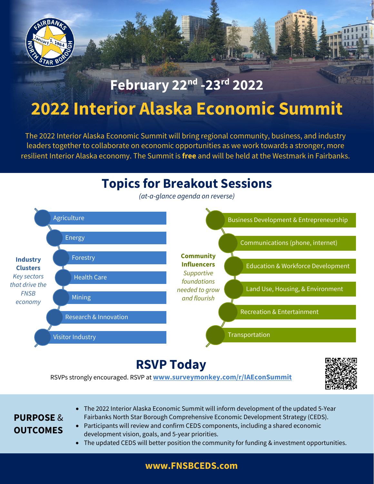

# **February 22nd -23rd 2022 2022 Interior Alaska Economic Summit**

LH A

The 2022 Interior Alaska Economic Summit will bring regional community, business, and industry leaders together to collaborate on economic opportunities as we work towards a stronger, more resilient Interior Alaska economy. The Summit is **free** and will be held at the Westmark in Fairbanks.

# **Topics for Breakout Sessions**

*(at-a-glance agenda on reverse)*



# **RSVP Today**

RSVPs strongly encouraged. RSVP at **[www.surveymonkey.com/r/IAEconSummit](http://www.surveymonkey.com/r/IAEconSummit)**



### **PURPOSE** & **OUTCOMES**

- The 2022 Interior Alaska Economic Summit will inform development of the updated 5-Year Fairbanks North Star Borough Comprehensive Economic Development Strategy (CEDS).
- Participants will review and confirm CEDS components, including a shared economic development vision, goals, and 5-year priorities.
- The updated CEDS will better position the community for funding & investment opportunities.

#### **[www.FNSBCEDS.com](http://www.fnsbceds.com/)**